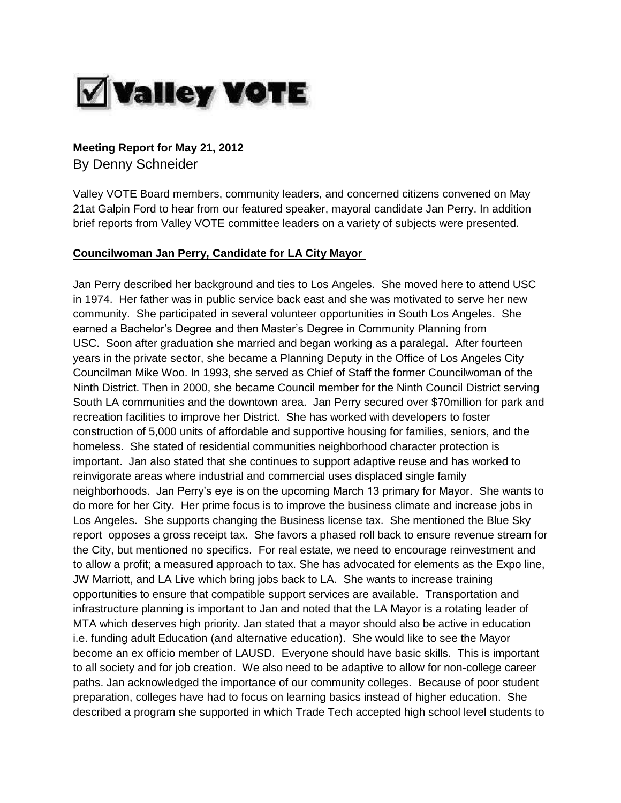

# **Meeting Report for May 21, 2012**

By Denny Schneider

Valley VOTE Board members, community leaders, and concerned citizens convened on May 21at Galpin Ford to hear from our featured speaker, mayoral candidate Jan Perry. In addition brief reports from Valley VOTE committee leaders on a variety of subjects were presented.

### **Councilwoman Jan Perry, Candidate for LA City Mayor**

Jan Perry described her background and ties to Los Angeles. She moved here to attend USC in 1974. Her father was in public service back east and she was motivated to serve her new community. She participated in several volunteer opportunities in South Los Angeles. She earned a Bachelor's Degree and then Master's Degree in Community Planning from USC. Soon after graduation she married and began working as a paralegal. After fourteen years in the private sector, she became a Planning Deputy in the Office of Los Angeles City Councilman Mike Woo. In 1993, she served as Chief of Staff the former Councilwoman of the Ninth District. Then in 2000, she became Council member for the Ninth Council District serving South LA communities and the downtown area. Jan Perry secured over \$70million for park and recreation facilities to improve her District. She has worked with developers to foster construction of 5,000 units of affordable and supportive housing for families, seniors, and the homeless. She stated of residential communities neighborhood character protection is important. Jan also stated that she continues to support adaptive reuse and has worked to reinvigorate areas where industrial and commercial uses displaced single family neighborhoods. Jan Perry's eye is on the upcoming March 13 primary for Mayor. She wants to do more for her City. Her prime focus is to improve the business climate and increase jobs in Los Angeles. She supports changing the Business license tax. She mentioned the Blue Sky report opposes a gross receipt tax. She favors a phased roll back to ensure revenue stream for the City, but mentioned no specifics. For real estate, we need to encourage reinvestment and to allow a profit; a measured approach to tax. She has advocated for elements as the Expo line, JW Marriott, and LA Live which bring jobs back to LA. She wants to increase training opportunities to ensure that compatible support services are available. Transportation and infrastructure planning is important to Jan and noted that the LA Mayor is a rotating leader of MTA which deserves high priority. Jan stated that a mayor should also be active in education i.e. funding adult Education (and alternative education). She would like to see the Mayor become an ex officio member of LAUSD. Everyone should have basic skills. This is important to all society and for job creation. We also need to be adaptive to allow for non-college career paths. Jan acknowledged the importance of our community colleges. Because of poor student preparation, colleges have had to focus on learning basics instead of higher education. She described a program she supported in which Trade Tech accepted high school level students to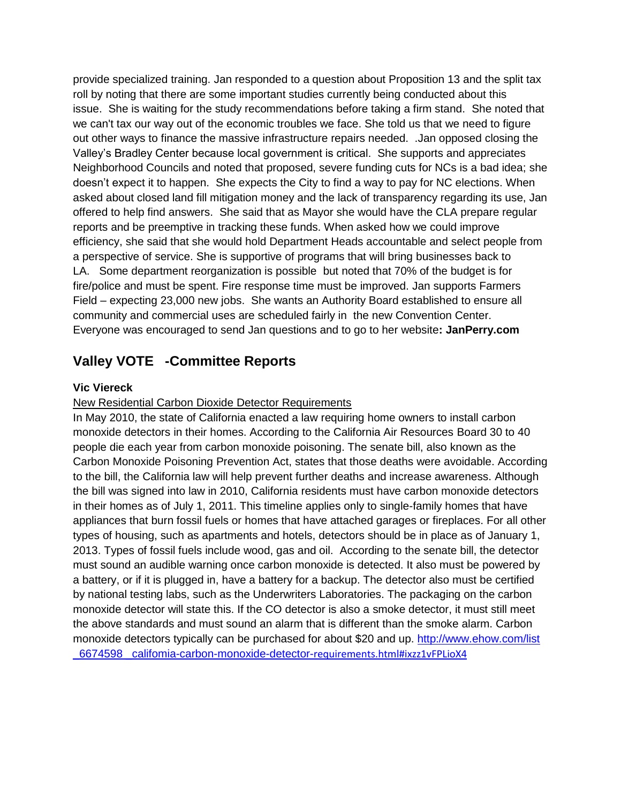provide specialized training. Jan responded to a question about Proposition 13 and the split tax roll by noting that there are some important studies currently being conducted about this issue. She is waiting for the study recommendations before taking a firm stand. She noted that we can't tax our way out of the economic troubles we face. She told us that we need to figure out other ways to finance the massive infrastructure repairs needed. .Jan opposed closing the Valley's Bradley Center because local government is critical. She supports and appreciates Neighborhood Councils and noted that proposed, severe funding cuts for NCs is a bad idea; she doesn't expect it to happen. She expects the City to find a way to pay for NC elections. When asked about closed land fill mitigation money and the lack of transparency regarding its use, Jan offered to help find answers. She said that as Mayor she would have the CLA prepare regular reports and be preemptive in tracking these funds. When asked how we could improve efficiency, she said that she would hold Department Heads accountable and select people from a perspective of service. She is supportive of programs that will bring businesses back to LA. Some department reorganization is possible but noted that 70% of the budget is for fire/police and must be spent. Fire response time must be improved. Jan supports Farmers Field – expecting 23,000 new jobs. She wants an Authority Board established to ensure all community and commercial uses are scheduled fairly in the new Convention Center. Everyone was encouraged to send Jan questions and to go to her website**: JanPerry.com** 

## **Valley VOTE -Committee Reports**

### **Vic Viereck**

#### New Residential Carbon Dioxide Detector Requirements

In May 2010, the state of California enacted a law requiring home owners to install carbon monoxide detectors in their homes. According to the California Air Resources Board 30 to 40 people die each year from carbon monoxide poisoning. The senate bill, also known as the Carbon Monoxide Poisoning Prevention Act, states that those deaths were avoidable. According to the bill, the California law will help prevent further deaths and increase awareness. Although the bill was signed into law in 2010, California residents must have carbon monoxide detectors in their homes as of July 1, 2011. This timeline applies only to single-family homes that have appliances that burn fossil fuels or homes that have attached garages or fireplaces. For all other types of housing, such as apartments and hotels, detectors should be in place as of January 1, 2013. Types of fossil fuels include wood, gas and oil. According to the senate bill, the detector must sound an audible warning once carbon monoxide is detected. It also must be powered by a battery, or if it is plugged in, have a battery for a backup. The detector also must be certified by national testing labs, such as the Underwriters Laboratories. The packaging on the carbon monoxide detector will state this. If the CO detector is also a smoke detector, it must still meet the above standards and must sound an alarm that is different than the smoke alarm. Carbon monoxide detectors typically can be purchased for about \$20 and up. [http://www.ehow.com/list](http://www.ehow.com/list_6674598_california-carbon-monoxide-detector-requirements.html#ixzz1vFPLioX4) [\\_6674598 \\_califomia-carbon-monoxide-detector-](http://www.ehow.com/list_6674598_california-carbon-monoxide-detector-requirements.html#ixzz1vFPLioX4)requirements.html#ixzz1vFPLioX4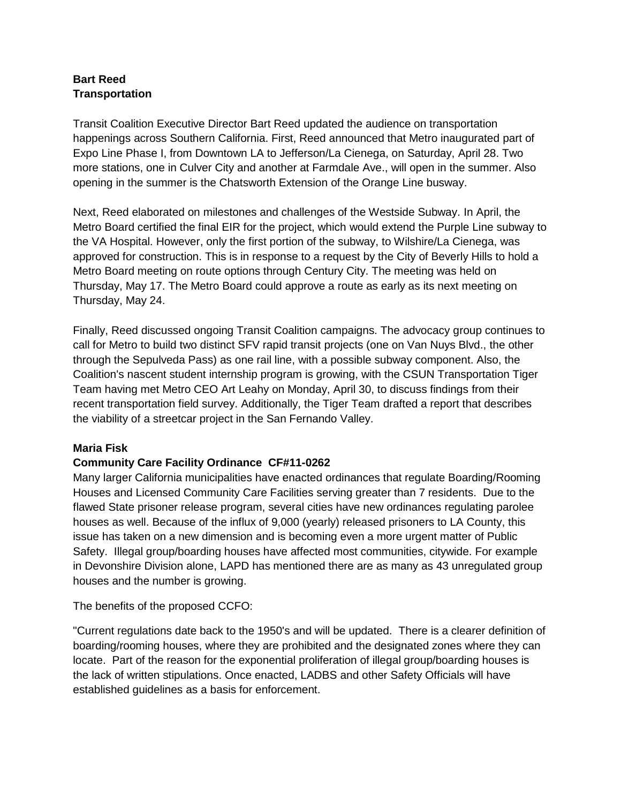## **Bart Reed Transportation**

Transit Coalition Executive Director Bart Reed updated the audience on transportation happenings across Southern California. First, Reed announced that Metro inaugurated part of Expo Line Phase I, from Downtown LA to Jefferson/La Cienega, on Saturday, April 28. Two more stations, one in Culver City and another at Farmdale Ave., will open in the summer. Also opening in the summer is the Chatsworth Extension of the Orange Line busway.

Next, Reed elaborated on milestones and challenges of the Westside Subway. In April, the Metro Board certified the final EIR for the project, which would extend the Purple Line subway to the VA Hospital. However, only the first portion of the subway, to Wilshire/La Cienega, was approved for construction. This is in response to a request by the City of Beverly Hills to hold a Metro Board meeting on route options through Century City. The meeting was held on Thursday, May 17. The Metro Board could approve a route as early as its next meeting on Thursday, May 24.

Finally, Reed discussed ongoing Transit Coalition campaigns. The advocacy group continues to call for Metro to build two distinct SFV rapid transit projects (one on Van Nuys Blvd., the other through the Sepulveda Pass) as one rail line, with a possible subway component. Also, the Coalition's nascent student internship program is growing, with the CSUN Transportation Tiger Team having met Metro CEO Art Leahy on Monday, April 30, to discuss findings from their recent transportation field survey. Additionally, the Tiger Team drafted a report that describes the viability of a streetcar project in the San Fernando Valley.

## **Maria Fisk**

## **Community Care Facility Ordinance CF#11-0262**

Many larger California municipalities have enacted ordinances that regulate Boarding/Rooming Houses and Licensed Community Care Facilities serving greater than 7 residents. Due to the flawed State prisoner release program, several cities have new ordinances regulating parolee houses as well. Because of the influx of 9,000 (yearly) released prisoners to LA County, this issue has taken on a new dimension and is becoming even a more urgent matter of Public Safety. Illegal group/boarding houses have affected most communities, citywide. For example in Devonshire Division alone, LAPD has mentioned there are as many as 43 unregulated group houses and the number is growing.

The benefits of the proposed CCFO:

"Current regulations date back to the 1950's and will be updated. There is a clearer definition of boarding/rooming houses, where they are prohibited and the designated zones where they can locate. Part of the reason for the exponential proliferation of illegal group/boarding houses is the lack of written stipulations. Once enacted, LADBS and other Safety Officials will have established guidelines as a basis for enforcement.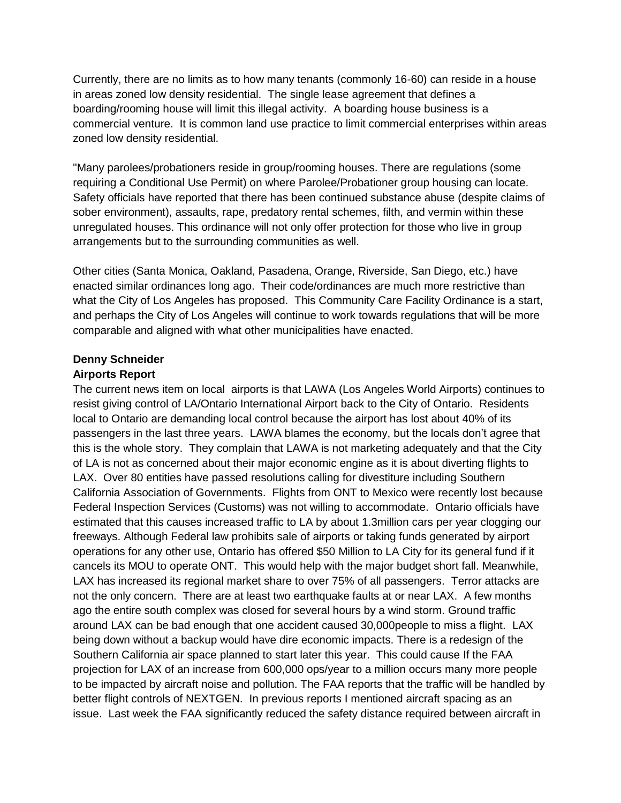Currently, there are no limits as to how many tenants (commonly 16-60) can reside in a house in areas zoned low density residential. The single lease agreement that defines a boarding/rooming house will limit this illegal activity. A boarding house business is a commercial venture. It is common land use practice to limit commercial enterprises within areas zoned low density residential.

"Many parolees/probationers reside in group/rooming houses. There are regulations (some requiring a Conditional Use Permit) on where Parolee/Probationer group housing can locate. Safety officials have reported that there has been continued substance abuse (despite claims of sober environment), assaults, rape, predatory rental schemes, filth, and vermin within these unregulated houses. This ordinance will not only offer protection for those who live in group arrangements but to the surrounding communities as well.

Other cities (Santa Monica, Oakland, Pasadena, Orange, Riverside, San Diego, etc.) have enacted similar ordinances long ago. Their code/ordinances are much more restrictive than what the City of Los Angeles has proposed. This Community Care Facility Ordinance is a start, and perhaps the City of Los Angeles will continue to work towards regulations that will be more comparable and aligned with what other municipalities have enacted.

## **Denny Schneider**

#### **Airports Report**

The current news item on local airports is that LAWA (Los Angeles World Airports) continues to resist giving control of LA/Ontario International Airport back to the City of Ontario. Residents local to Ontario are demanding local control because the airport has lost about 40% of its passengers in the last three years. LAWA blames the economy, but the locals don't agree that this is the whole story. They complain that LAWA is not marketing adequately and that the City of LA is not as concerned about their major economic engine as it is about diverting flights to LAX. Over 80 entities have passed resolutions calling for divestiture including Southern California Association of Governments. Flights from ONT to Mexico were recently lost because Federal Inspection Services (Customs) was not willing to accommodate. Ontario officials have estimated that this causes increased traffic to LA by about 1.3million cars per year clogging our freeways. Although Federal law prohibits sale of airports or taking funds generated by airport operations for any other use, Ontario has offered \$50 Million to LA City for its general fund if it cancels its MOU to operate ONT. This would help with the major budget short fall. Meanwhile, LAX has increased its regional market share to over 75% of all passengers. Terror attacks are not the only concern. There are at least two earthquake faults at or near LAX. A few months ago the entire south complex was closed for several hours by a wind storm. Ground traffic around LAX can be bad enough that one accident caused 30,000people to miss a flight. LAX being down without a backup would have dire economic impacts. There is a redesign of the Southern California air space planned to start later this year. This could cause If the FAA projection for LAX of an increase from 600,000 ops/year to a million occurs many more people to be impacted by aircraft noise and pollution. The FAA reports that the traffic will be handled by better flight controls of NEXTGEN. In previous reports I mentioned aircraft spacing as an issue. Last week the FAA significantly reduced the safety distance required between aircraft in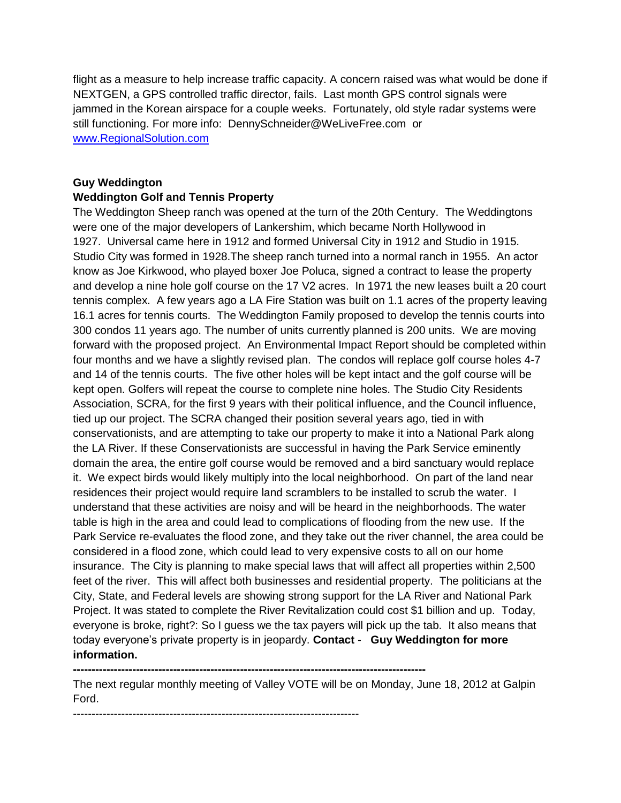flight as a measure to help increase traffic capacity. A concern raised was what would be done if NEXTGEN, a GPS controlled traffic director, fails. Last month GPS control signals were jammed in the Korean airspace for a couple weeks. Fortunately, old style radar systems were still functioning. For more info: DennySchneider@WeLiveFree.com or [www.RegionalSolution.com](http://www.regionalsolution.com/)

#### **Guy Weddington**

#### **Weddington Golf and Tennis Property**

The Weddington Sheep ranch was opened at the turn of the 20th Century. The Weddingtons were one of the major developers of Lankershim, which became North Hollywood in 1927. Universal came here in 1912 and formed Universal City in 1912 and Studio in 1915. Studio City was formed in 1928.The sheep ranch turned into a normal ranch in 1955. An actor know as Joe Kirkwood, who played boxer Joe Poluca, signed a contract to lease the property and develop a nine hole golf course on the 17 V2 acres. In 1971 the new leases built a 20 court tennis complex. A few years ago a LA Fire Station was built on 1.1 acres of the property leaving 16.1 acres for tennis courts. The Weddington Family proposed to develop the tennis courts into 300 condos 11 years ago. The number of units currently planned is 200 units. We are moving forward with the proposed project. An Environmental Impact Report should be completed within four months and we have a slightly revised plan. The condos will replace golf course holes 4-7 and 14 of the tennis courts. The five other holes will be kept intact and the golf course will be kept open. Golfers will repeat the course to complete nine holes. The Studio City Residents Association, SCRA, for the first 9 years with their political influence, and the Council influence, tied up our project. The SCRA changed their position several years ago, tied in with conservationists, and are attempting to take our property to make it into a National Park along the LA River. If these Conservationists are successful in having the Park Service eminently domain the area, the entire golf course would be removed and a bird sanctuary would replace it. We expect birds would likely multiply into the local neighborhood. On part of the land near residences their project would require land scramblers to be installed to scrub the water. I understand that these activities are noisy and will be heard in the neighborhoods. The water table is high in the area and could lead to complications of flooding from the new use. If the Park Service re-evaluates the flood zone, and they take out the river channel, the area could be considered in a flood zone, which could lead to very expensive costs to all on our home insurance. The City is planning to make special laws that will affect all properties within 2,500 feet of the river. This will affect both businesses and residential property. The politicians at the City, State, and Federal levels are showing strong support for the LA River and National Park Project. It was stated to complete the River Revitalization could cost \$1 billion and up. Today, everyone is broke, right?: So I guess we the tax payers will pick up the tab. It also means that today everyone's private property is in jeopardy. **Contact** - **Guy Weddington for more information.**

**-----------------------------------------------------------------------------------------------** 

The next regular monthly meeting of Valley VOTE will be on Monday, June 18, 2012 at Galpin Ford.

-----------------------------------------------------------------------------